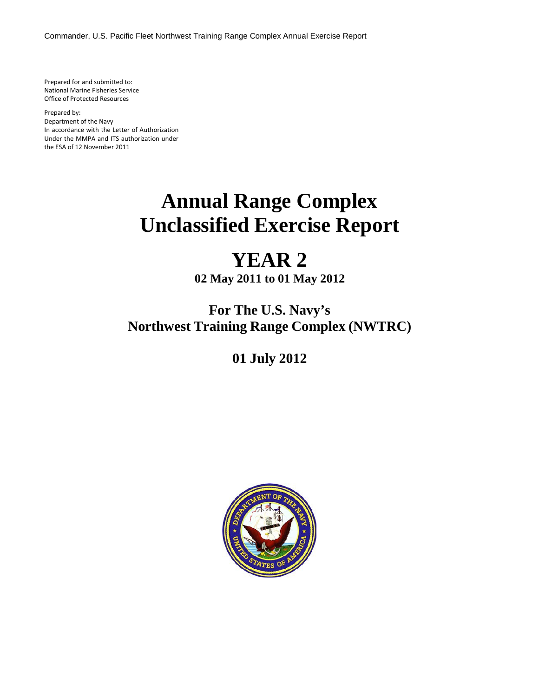Commander, U.S. Pacific Fleet Northwest Training Range Complex Annual Exercise Report

Prepared for and submitted to: National Marine Fisheries Service Office of Protected Resources

Prepared by: Department of the Navy In accordance with the Letter of Authorization Under the MMPA and ITS authorization under the ESA of 12 November 2011

# **Annual Range Complex Unclassified Exercise Report**

## **YEAR 2**

**02 May 2011 to 01 May 2012**

### **For The U.S. Navy's Northwest Training Range Complex (NWTRC)**

**01 July 2012**

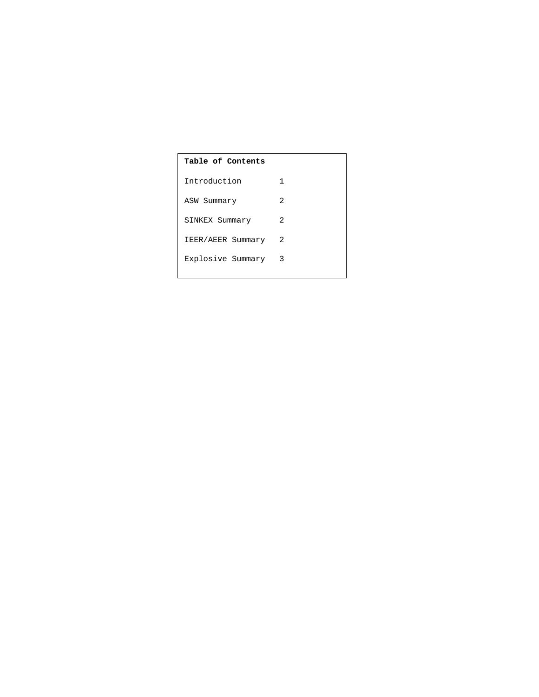| Table of Contents |  |  |  |  |
|-------------------|--|--|--|--|
| 1                 |  |  |  |  |
| 2                 |  |  |  |  |
| 2                 |  |  |  |  |
| 2                 |  |  |  |  |
| 3                 |  |  |  |  |
|                   |  |  |  |  |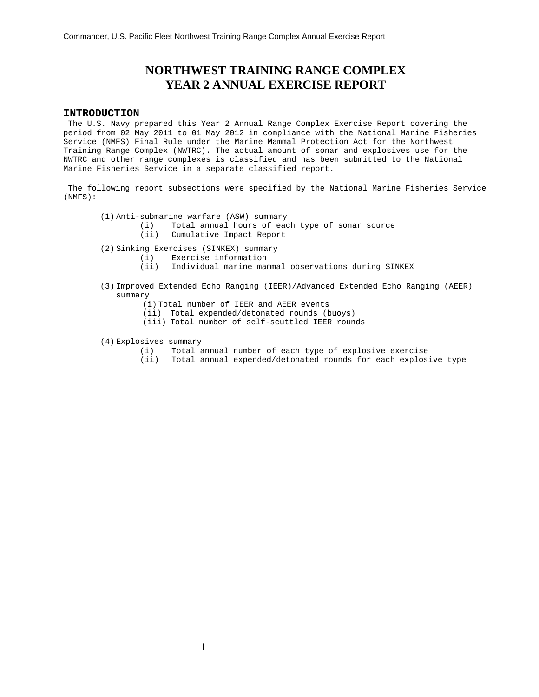### **NORTHWEST TRAINING RANGE COMPLEX YEAR 2 ANNUAL EXERCISE REPORT**

#### **INTRODUCTION**

The U.S. Navy prepared this Year 2 Annual Range Complex Exercise Report covering the period from 02 May 2011 to 01 May 2012 in compliance with the National Marine Fisheries Service (NMFS) Final Rule under the Marine Mammal Protection Act for the Northwest Training Range Complex (NWTRC). The actual amount of sonar and explosives use for the NWTRC and other range complexes is classified and has been submitted to the National Marine Fisheries Service in a separate classified report.

The following report subsections were specified by the National Marine Fisheries Service (NMFS):

- (1) Anti-submarine warfare (ASW) summary
	- (i) Total annual hours of each type of sonar source (ii) Cumulative Impact Report
- (2) Sinking Exercises (SINKEX) summary
	- (i) Exercise information
		- (ii) Individual marine mammal observations during SINKEX
- (3) Improved Extended Echo Ranging (IEER)/Advanced Extended Echo Ranging (AEER) summary
	- (i) Total number of IEER and AEER events
	- (ii) Total expended/detonated rounds (buoys)
	- (iii) Total number of self-scuttled IEER rounds
- (4) Explosives summary
	- (i) Total annual number of each type of explosive exercise
	- (ii) Total annual expended/detonated rounds for each explosive type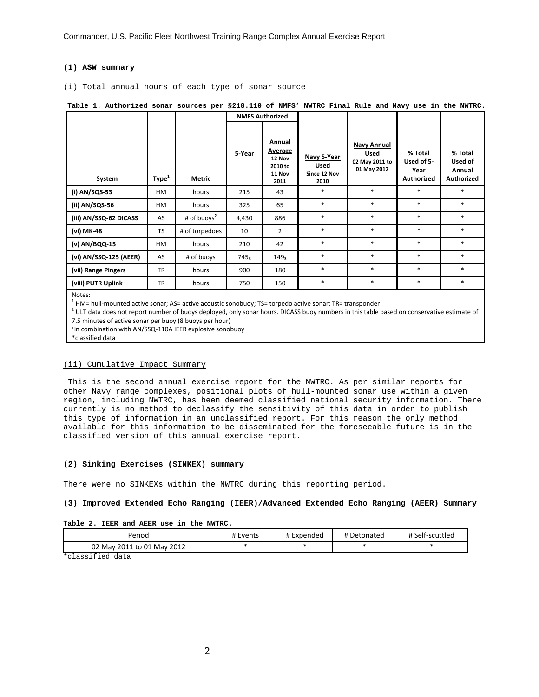#### **(1) ASW summary**

#### (i) Total annual hours of each type of sonar source

|                |        |                   |        | 8910.110 01 1111 P |                                                                 |                                             |                                                      |                                                    |                                                   |
|----------------|--------|-------------------|--------|--------------------|-----------------------------------------------------------------|---------------------------------------------|------------------------------------------------------|----------------------------------------------------|---------------------------------------------------|
|                |        |                   |        |                    | <b>NMFS Authorized</b>                                          |                                             |                                                      |                                                    |                                                   |
|                | System | Type <sup>1</sup> | Metric | 5-Year             | Annual<br><b>Average</b><br>12 Nov<br>2010 to<br>11 Nov<br>2011 | Navy 5-Year<br>Used<br>Since 12 Nov<br>2010 | Navy Annual<br>Used<br>02 May 2011 to<br>01 May 2012 | % Total<br>Used of 5-<br>Year<br><b>Authorized</b> | % Total<br>Used of<br>Annual<br><b>Authorized</b> |
| (i) AN/SQS-53  |        | HM                | hours  | 215                | 43                                                              | $\ast$                                      | $\ast$                                               | $\ast$                                             | $\ast$                                            |
| (ii) AN/SQS-56 |        | HМ                | hours  | 325                | 65                                                              | $\ast$                                      | $*$                                                  | $\ast$                                             | $\ast$                                            |

(iii) AN/SSQ-62 DICASS AS # of buoys<sup>2</sup> 4,430 886 \* \* \* \* \* \* (vi) MK-48 **TS** # of torpedoes 10 2 \* \* \* \* \* **(v) AN/BQQ-15** HM hours 210 42 \* \* \* \* \* **(vi) AN/SSQ-125 (AEER)** AS # of buoys 745<sub>3</sub> 149<sub>3</sub> \* \* \* \* \* **(vii) Range Pingers** TR hours 900 180 \* \* \* \* \* \* **(viii) PUTR Uplink |** TR | hours | 750 | 150 | \* | \* | \* | \*

**Table 1. Authorized sonar sources per §218.110 of NMFS' NWTRC Final Rule and Navy use in the NWTRC.**

Notes:

 $<sup>1</sup>$  HM= hull-mounted active sonar; AS= active acoustic sonobuoy; TS= torpedo active sonar; TR= transponder</sup>

<sup>2</sup> ULT data does not report number of buoys deployed, only sonar hours. DICASS buoy numbers in this table based on conservative estimate of 7.5 minutes of active sonar per buoy (8 buoys per hour)

₃ in combination with AN/SSQ-110A IEER explosive sonobuoy

\*classified data

#### (ii) Cumulative Impact Summary

This is the second annual exercise report for the NWTRC. As per similar reports for other Navy range complexes, positional plots of hull-mounted sonar use within a given region, including NWTRC, has been deemed classified national security information. There currently is no method to declassify the sensitivity of this data in order to publish this type of information in an unclassified report. For this reason the only method available for this information to be disseminated for the foreseeable future is in the classified version of this annual exercise report.

#### **(2) Sinking Exercises (SINKEX) summary**

There were no SINKEXs within the NWTRC during this reporting period.

#### **(3) Improved Extended Echo Ranging (IEER)/Advanced Extended Echo Ranging (AEER) Summary**

#### **Table 2. IEER and AEER use in the NWTRC**.

| Period                     | # Events | # Expended | # Detonated | # Self-scuttled |
|----------------------------|----------|------------|-------------|-----------------|
| 02 May 2011 to 01 May 2012 |          |            |             |                 |

\*classified data